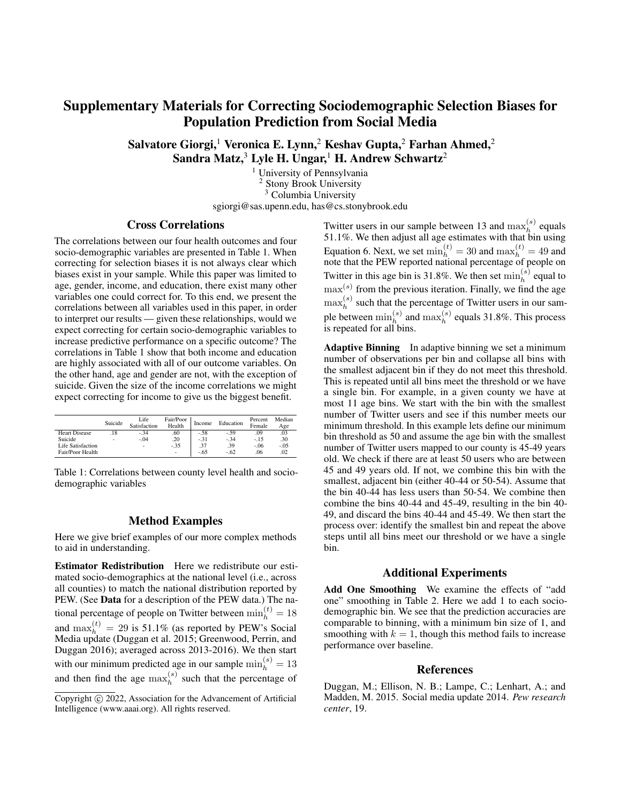# Supplementary Materials for Correcting Sociodemographic Selection Biases for Population Prediction from Social Media

Salvatore Giorgi,<sup>1</sup> Veronica E. Lynn,<sup>2</sup> Keshav Gupta,<sup>2</sup> Farhan Ahmed,<sup>2</sup> Sandra Matz,<sup>3</sup> Lyle H. Ungar,<sup>1</sup> H. Andrew Schwartz<sup>2</sup>

> <sup>1</sup> University of Pennsylvania <sup>2</sup> Stony Brook University <sup>3</sup> Columbia University sgiorgi@sas.upenn.edu, has@cs.stonybrook.edu

## Cross Correlations

The correlations between our four health outcomes and four socio-demographic variables are presented in Table 1. When correcting for selection biases it is not always clear which biases exist in your sample. While this paper was limited to age, gender, income, and education, there exist many other variables one could correct for. To this end, we present the correlations between all variables used in this paper, in order to interpret our results — given these relationships, would we expect correcting for certain socio-demographic variables to increase predictive performance on a specific outcome? The correlations in Table 1 show that both income and education are highly associated with all of our outcome variables. On the other hand, age and gender are not, with the exception of suicide. Given the size of the income correlations we might expect correcting for income to give us the biggest benefit.

|                      | Suicide       | Life<br>Satisfaction     | Fair/Poor<br>Health      | Income | Education | Percent<br>Female | Median<br>Age |
|----------------------|---------------|--------------------------|--------------------------|--------|-----------|-------------------|---------------|
| <b>Heart Disease</b> | .18           | $-.34$                   | .60                      | $-.58$ | $-.59$    | .09               | .03           |
| Suicide              | $\frac{1}{2}$ | $-.04$                   | .20                      | $-31$  | $-.34$    | $-.15$            | .30           |
| Life Satisfaction    |               | $\overline{\phantom{a}}$ | $-.35$                   | .37    | .39       | $-.06$            | $-.05$        |
| Fair/Poor Health     |               |                          | $\overline{\phantom{a}}$ | $-.65$ | $-.62$    | .06               | .02           |

Table 1: Correlations between county level health and sociodemographic variables

### Method Examples

Here we give brief examples of our more complex methods to aid in understanding.

Estimator Redistribution Here we redistribute our estimated socio-demographics at the national level (i.e., across all counties) to match the national distribution reported by PEW. (See Data for a description of the PEW data.) The national percentage of people on Twitter between  $\min_h^{(t)} = 18$ and  $\max_{h}^{(t)} = 29$  is 51.1% (as reported by PEW's Social Media update (Duggan et al. 2015; Greenwood, Perrin, and Duggan 2016); averaged across 2013-2016). We then start with our minimum predicted age in our sample  $\min_h^{(s)} = 13$ and then find the age  $\max_{h}^{(s)}$  $h^{(s)}$  such that the percentage of

Twitter users in our sample between 13 and  $\max_h^{(s)}$  $h^{(s)}_h$  equals 51.1%. We then adjust all age estimates with that bin using Equation 6. Next, we set  $\min_{h}^{(t)} = 30$  and  $\max_{h}^{(t)} = 49$  and note that the PEW reported national percentage of people on Twitter in this age bin is 31.8%. We then set  $\min_{h}^{(s)}$  equal to  $max<sup>(s)</sup>$  from the previous iteration. Finally, we find the age  $\max_{h}^{(s)}$  such that the percentage of Twitter users in our sample between  $\min_{h}^{(s)}$  and  $\max_{h}^{(s)}$  $h^{(s)}_h$  equals 31.8%. This process is repeated for all bins.

Adaptive Binning In adaptive binning we set a minimum number of observations per bin and collapse all bins with the smallest adjacent bin if they do not meet this threshold. This is repeated until all bins meet the threshold or we have a single bin. For example, in a given county we have at most 11 age bins. We start with the bin with the smallest number of Twitter users and see if this number meets our minimum threshold. In this example lets define our minimum bin threshold as 50 and assume the age bin with the smallest number of Twitter users mapped to our county is 45-49 years old. We check if there are at least 50 users who are between 45 and 49 years old. If not, we combine this bin with the smallest, adjacent bin (either 40-44 or 50-54). Assume that the bin 40-44 has less users than 50-54. We combine then combine the bins 40-44 and 45-49, resulting in the bin 40- 49, and discard the bins 40-44 and 45-49. We then start the process over: identify the smallest bin and repeat the above steps until all bins meet our threshold or we have a single bin.

#### Additional Experiments

Add One Smoothing We examine the effects of "add one" smoothing in Table 2. Here we add 1 to each sociodemographic bin. We see that the prediction accuracies are comparable to binning, with a minimum bin size of 1, and smoothing with  $k = 1$ , though this method fails to increase performance over baseline.

### References

Duggan, M.; Ellison, N. B.; Lampe, C.; Lenhart, A.; and Madden, M. 2015. Social media update 2014. *Pew research center*, 19.

Copyright © 2022, Association for the Advancement of Artificial Intelligence (www.aaai.org). All rights reserved.